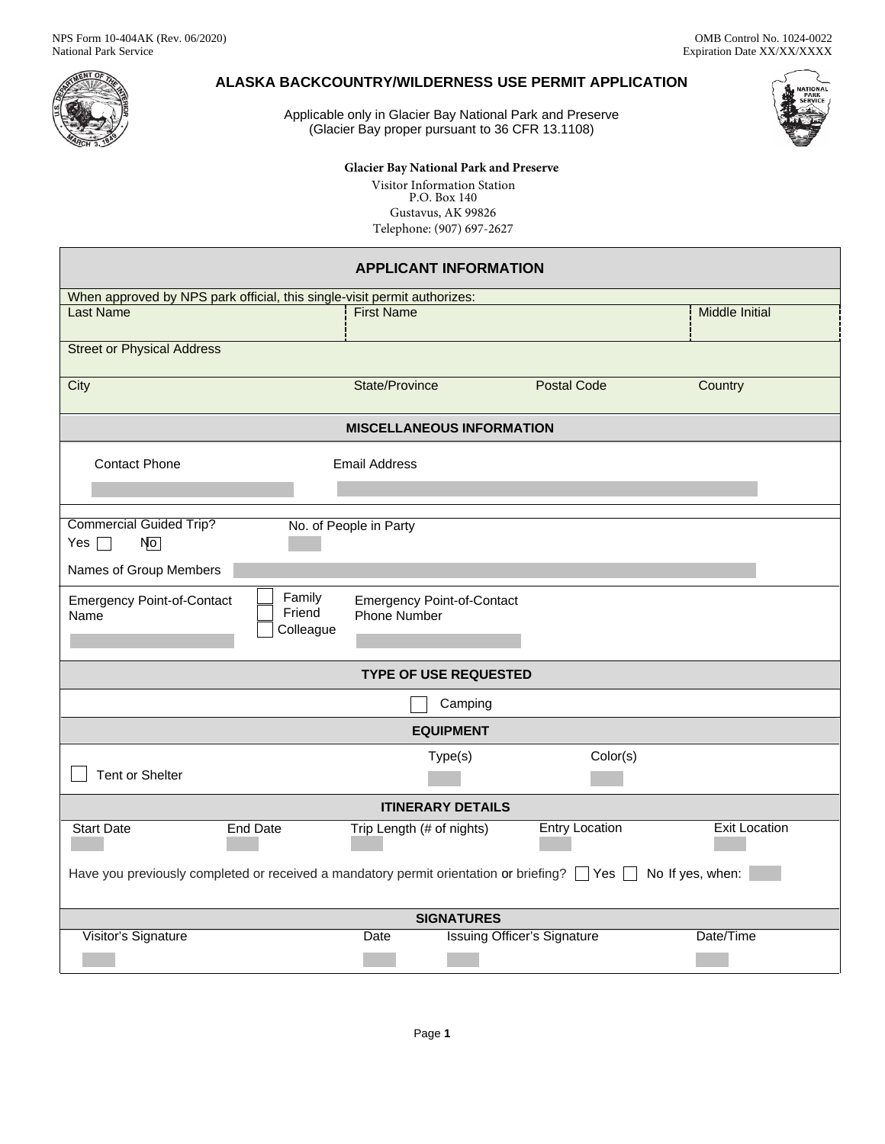

# **ALASKA BACKCOUNTRY/WILDERNESS USE PERMIT APPLICATION**

Applicable only in Glacier Bay National Park and Preserve (Glacier Bay proper pursuant to 36 CFR 13.1108)



# **Glacier Bay National Park and Preserve**

Visitor Information Station P.O. Box 140 Gustavus, AK 99826 Telephone: (907) 697-2627

| <b>APPLICANT INFORMATION</b>                                                                                             |                               |                                                   |                                    |                       |
|--------------------------------------------------------------------------------------------------------------------------|-------------------------------|---------------------------------------------------|------------------------------------|-----------------------|
| When approved by NPS park official, this single-visit permit authorizes:                                                 |                               |                                                   |                                    |                       |
| <b>Last Name</b>                                                                                                         |                               | <b>First Name</b>                                 |                                    | <b>Middle Initial</b> |
| <b>Street or Physical Address</b>                                                                                        |                               |                                                   |                                    |                       |
| City                                                                                                                     |                               | State/Province                                    | <b>Postal Code</b>                 | Country               |
| <b>MISCELLANEOUS INFORMATION</b>                                                                                         |                               |                                                   |                                    |                       |
| <b>Contact Phone</b>                                                                                                     |                               | <b>Email Address</b>                              |                                    |                       |
|                                                                                                                          |                               |                                                   |                                    |                       |
| <b>Commercial Guided Trip?</b><br>Yes $\Box$<br>N <sub>O</sub>                                                           |                               | No. of People in Party                            |                                    |                       |
| Names of Group Members                                                                                                   |                               |                                                   |                                    |                       |
| <b>Emergency Point-of-Contact</b><br>Name                                                                                | Family<br>Friend<br>Colleague | <b>Emergency Point-of-Contact</b><br>Phone Number |                                    |                       |
| <b>TYPE OF USE REQUESTED</b>                                                                                             |                               |                                                   |                                    |                       |
| Camping                                                                                                                  |                               |                                                   |                                    |                       |
| <b>EQUIPMENT</b>                                                                                                         |                               |                                                   |                                    |                       |
|                                                                                                                          |                               | Type(s)                                           | Color(s)                           |                       |
| Tent or Shelter                                                                                                          |                               |                                                   |                                    |                       |
| <b>ITINERARY DETAILS</b>                                                                                                 |                               |                                                   |                                    |                       |
| <b>Start Date</b>                                                                                                        | End Date                      | Trip Length (# of nights)                         | <b>Entry Location</b>              | <b>Exit Location</b>  |
| Have you previously completed or received a mandatory permit orientation or briefing? $\Box$ Yes $\Box$ No If yes, when: |                               |                                                   |                                    |                       |
| <b>SIGNATURES</b>                                                                                                        |                               |                                                   |                                    |                       |
| Visitor's Signature                                                                                                      |                               | Date                                              | <b>Issuing Officer's Signature</b> | Date/Time             |
|                                                                                                                          |                               |                                                   |                                    |                       |